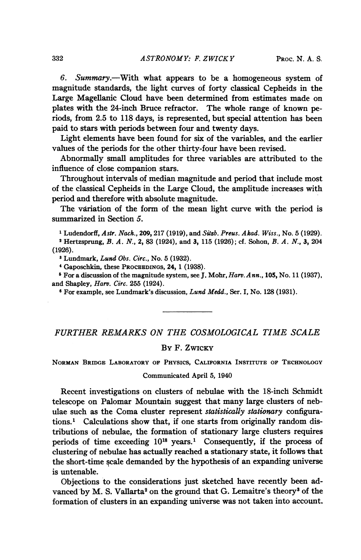6. Summary.-With what appears to be a homogeneous system of magnitude standards, the light curves of forty classical Cepheids in the Large Magellanic Cloud have been determined from estimates made on plates with the 24-inch Bruce refractor. The whole range of known periods, from 2.5 to 118 days, is represented, but special attention has been paid to stars with periods between four and twenty days.

Light elements have been found for six of the variables, and the earlier values of the periods for the other thirty-four have been revised.

Abnormally small amplitudes for three variables are attributed to the influence of close companion stars.

Throughout intervals of median magnitude and period that include most of the classical Cepheids in the Large Cloud, the amplitude increases with period and therefore with absolute magnitude.

The variation of the form of the mean light curve with the period is summarized in Section 5.

<sup>1</sup> Ludendorff, Astr. Nach., 209, 217 (1919), and Sitzb. Preus. Akad. Wiss., No. 5 (1929).

<sup>2</sup> Hertzsprung, B. A. N., 2, 83 (1924), and 3, 115 (1926); cf. Sohon, B. A. N., 3, 204 (1926).

3Lundmark, Lund Obs. Circ., No. 5 (1932).

4Gaposchkin, these PROCEEDINGS, 24, 1 (1938).

<sup>5</sup> For a discussion of the magnitude system, see J. Mohr,  $Harv. Ann., 105, No. 11 (1937),$ and Shapley, Harv. Circ. 255 (1924).

<sup>6</sup> For example, see Lundmark's discussion, Lund Medd., Ser. I, No. 128 (1931).

## FURTHER REMARKS ON THE COSMOLOGICAL TIME SCALE

## By F. ZWICKY

NORMAN BRIDGE LABORATORY OF PHYSICS, CALIFORNIA INSTITUTE OF TECHNOLOGY

Communicated April 5, 1940

Recent investigations on clusters of nebulae with the 18-inch Schmidt telescope on Palomar Mountain suggest that many large clusters of nebulae such as the Coma cluster represent statistically stationary configurations.1 Calculations show that, if one starts from originally random distributions of nebulae, the formation of stationary large clusters requires periods of time exceeding  $10^{18}$  years.<sup>1</sup> Consequently, if the process of clustering of nebulae has actually reached a stationary state, it follows that the short-time scale demanded by the hypothesis of an expanding universe is untenable.

Objections to the considerations just sketched have recently been advanced by M. S. Vallarta<sup>2</sup> on the ground that G. Lemaitre's theory<sup>3</sup> of the formation of clusters in an expanding universe was not taken into account.